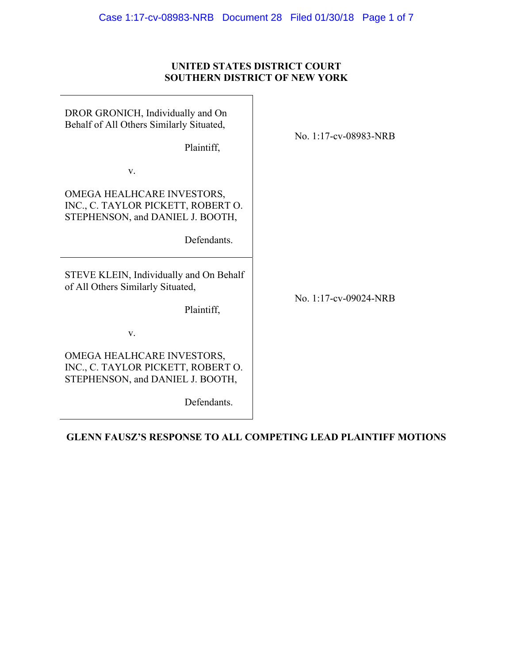# **UNITED STATES DISTRICT COURT SOUTHERN DISTRICT OF NEW YORK**

| DROR GRONICH, Individually and On<br>Behalf of All Others Similarly Situated,<br>Plaintiff,                         | No. 1:17-cv-08983-NRB |
|---------------------------------------------------------------------------------------------------------------------|-----------------------|
| V.                                                                                                                  |                       |
| OMEGA HEALHCARE INVESTORS,<br>INC., C. TAYLOR PICKETT, ROBERT O.<br>STEPHENSON, and DANIEL J. BOOTH,<br>Defendants. |                       |
| STEVE KLEIN, Individually and On Behalf<br>of All Others Similarly Situated,<br>Plaintiff,                          | No. 1:17-cv-09024-NRB |
| V.                                                                                                                  |                       |
| OMEGA HEALHCARE INVESTORS,<br>INC., C. TAYLOR PICKETT, ROBERT O.<br>STEPHENSON, and DANIEL J. BOOTH,<br>Defendants. |                       |

**GLENN FAUSZ'S RESPONSE TO ALL COMPETING LEAD PLAINTIFF MOTIONS**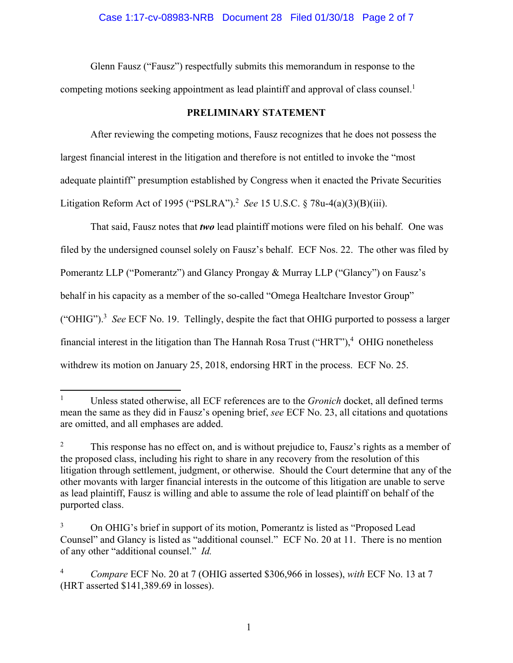Glenn Fausz ("Fausz") respectfully submits this memorandum in response to the competing motions seeking appointment as lead plaintiff and approval of class counsel.<sup>1</sup>

### **PRELIMINARY STATEMENT**

After reviewing the competing motions, Fausz recognizes that he does not possess the largest financial interest in the litigation and therefore is not entitled to invoke the "most adequate plaintiff" presumption established by Congress when it enacted the Private Securities Litigation Reform Act of 1995 ("PSLRA").<sup>2</sup> See 15 U.S.C. § 78u-4(a)(3)(B)(iii).

That said, Fausz notes that *two* lead plaintiff motions were filed on his behalf. One was filed by the undersigned counsel solely on Fausz's behalf. ECF Nos. 22. The other was filed by Pomerantz LLP ("Pomerantz") and Glancy Prongay & Murray LLP ("Glancy") on Fausz's behalf in his capacity as a member of the so-called "Omega Healtchare Investor Group" ("OHIG").3 *See* ECF No. 19. Tellingly, despite the fact that OHIG purported to possess a larger financial interest in the litigation than The Hannah Rosa Trust ("HRT"),<sup>4</sup> OHIG nonetheless withdrew its motion on January 25, 2018, endorsing HRT in the process. ECF No. 25.

 $\overline{a}$ 

<sup>1</sup> Unless stated otherwise, all ECF references are to the *Gronich* docket, all defined terms mean the same as they did in Fausz's opening brief, *see* ECF No. 23, all citations and quotations are omitted, and all emphases are added.

<sup>2</sup> This response has no effect on, and is without prejudice to, Fausz's rights as a member of the proposed class, including his right to share in any recovery from the resolution of this litigation through settlement, judgment, or otherwise. Should the Court determine that any of the other movants with larger financial interests in the outcome of this litigation are unable to serve as lead plaintiff, Fausz is willing and able to assume the role of lead plaintiff on behalf of the purported class.

<sup>3</sup> On OHIG's brief in support of its motion, Pomerantz is listed as "Proposed Lead Counsel" and Glancy is listed as "additional counsel." ECF No. 20 at 11. There is no mention of any other "additional counsel." *Id.* 

<sup>4</sup> *Compare* ECF No. 20 at 7 (OHIG asserted \$306,966 in losses), *with* ECF No. 13 at 7 (HRT asserted \$141,389.69 in losses).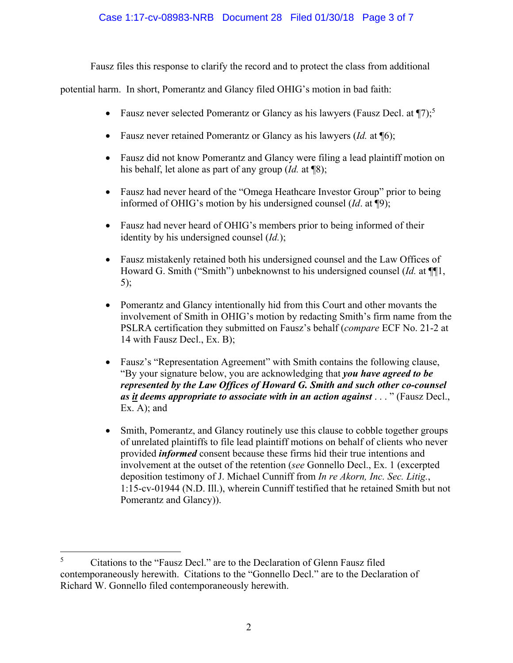### Case 1:17-cv-08983-NRB Document 28 Filed 01/30/18 Page 3 of 7

Fausz files this response to clarify the record and to protect the class from additional

potential harm. In short, Pomerantz and Glancy filed OHIG's motion in bad faith:

- Fausz never selected Pomerantz or Glancy as his lawyers (Fausz Decl. at  $\P$ 7);<sup>5</sup>
- Fausz never retained Pomerantz or Glancy as his lawyers (*Id.* at ¶6);
- Fausz did not know Pomerantz and Glancy were filing a lead plaintiff motion on his behalf, let alone as part of any group (*Id.* at ¶8);
- Fausz had never heard of the "Omega Heathcare Investor Group" prior to being informed of OHIG's motion by his undersigned counsel (*Id*. at ¶9);
- Fausz had never heard of OHIG's members prior to being informed of their identity by his undersigned counsel (*Id.*);
- Fausz mistakenly retained both his undersigned counsel and the Law Offices of Howard G. Smith ("Smith") unbeknownst to his undersigned counsel (*Id.* at ¶¶1, 5);
- Pomerantz and Glancy intentionally hid from this Court and other movants the involvement of Smith in OHIG's motion by redacting Smith's firm name from the PSLRA certification they submitted on Fausz's behalf (*compare* ECF No. 21-2 at 14 with Fausz Decl., Ex. B);
- Fausz's "Representation Agreement" with Smith contains the following clause, "By your signature below, you are acknowledging that *you have agreed to be represented by the Law Offices of Howard G. Smith and such other co-counsel as it deems appropriate to associate with in an action against* . . . " (Fausz Decl., Ex. A); and
- Smith, Pomerantz, and Glancy routinely use this clause to cobble together groups of unrelated plaintiffs to file lead plaintiff motions on behalf of clients who never provided *informed* consent because these firms hid their true intentions and involvement at the outset of the retention (*see* Gonnello Decl., Ex. 1 (excerpted deposition testimony of J. Michael Cunniff from *In re Akorn, Inc. Sec. Litig.*, 1:15-cv-01944 (N.D. Ill.), wherein Cunniff testified that he retained Smith but not Pomerantz and Glancy)).

 $\overline{a}$ 5 Citations to the "Fausz Decl." are to the Declaration of Glenn Fausz filed contemporaneously herewith. Citations to the "Gonnello Decl." are to the Declaration of Richard W. Gonnello filed contemporaneously herewith.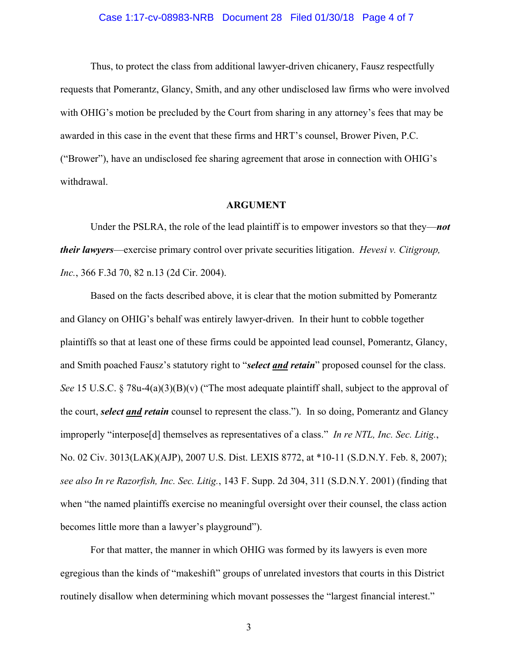### Case 1:17-cv-08983-NRB Document 28 Filed 01/30/18 Page 4 of 7

Thus, to protect the class from additional lawyer-driven chicanery, Fausz respectfully requests that Pomerantz, Glancy, Smith, and any other undisclosed law firms who were involved with OHIG's motion be precluded by the Court from sharing in any attorney's fees that may be awarded in this case in the event that these firms and HRT's counsel, Brower Piven, P.C. ("Brower"), have an undisclosed fee sharing agreement that arose in connection with OHIG's withdrawal.

#### **ARGUMENT**

Under the PSLRA, the role of the lead plaintiff is to empower investors so that they—*not their lawyers*—exercise primary control over private securities litigation. *Hevesi v. Citigroup, Inc.*, 366 F.3d 70, 82 n.13 (2d Cir. 2004).

Based on the facts described above, it is clear that the motion submitted by Pomerantz and Glancy on OHIG's behalf was entirely lawyer-driven. In their hunt to cobble together plaintiffs so that at least one of these firms could be appointed lead counsel, Pomerantz, Glancy, and Smith poached Fausz's statutory right to "*select and retain*" proposed counsel for the class. *See* 15 U.S.C. § 78u-4(a)(3)(B)(v) ("The most adequate plaintiff shall, subject to the approval of the court, *select and retain* counsel to represent the class."). In so doing, Pomerantz and Glancy improperly "interpose[d] themselves as representatives of a class." *In re NTL, Inc. Sec. Litig.*, No. 02 Civ. 3013(LAK)(AJP), 2007 U.S. Dist. LEXIS 8772, at \*10-11 (S.D.N.Y. Feb. 8, 2007); *see also In re Razorfish, Inc. Sec. Litig.*, 143 F. Supp. 2d 304, 311 (S.D.N.Y. 2001) (finding that when "the named plaintiffs exercise no meaningful oversight over their counsel, the class action becomes little more than a lawyer's playground").

For that matter, the manner in which OHIG was formed by its lawyers is even more egregious than the kinds of "makeshift" groups of unrelated investors that courts in this District routinely disallow when determining which movant possesses the "largest financial interest."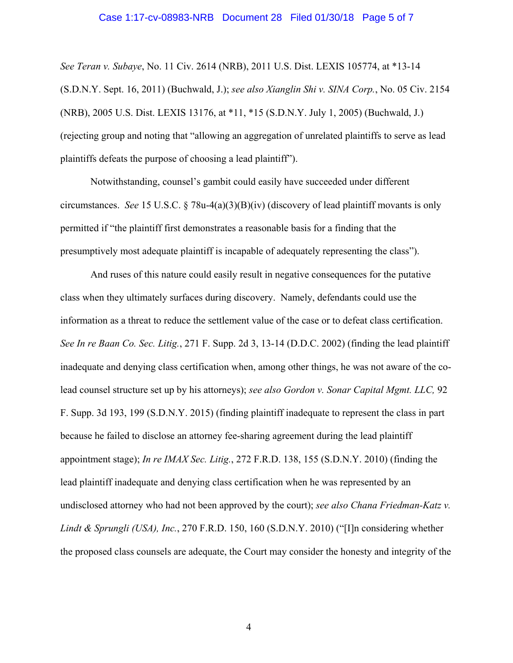### Case 1:17-cv-08983-NRB Document 28 Filed 01/30/18 Page 5 of 7

*See Teran v. Subaye*, No. 11 Civ. 2614 (NRB), 2011 U.S. Dist. LEXIS 105774, at \*13-14 (S.D.N.Y. Sept. 16, 2011) (Buchwald, J.); *see also Xianglin Shi v. SINA Corp.*, No. 05 Civ. 2154 (NRB), 2005 U.S. Dist. LEXIS 13176, at \*11, \*15 (S.D.N.Y. July 1, 2005) (Buchwald, J.) (rejecting group and noting that "allowing an aggregation of unrelated plaintiffs to serve as lead plaintiffs defeats the purpose of choosing a lead plaintiff").

Notwithstanding, counsel's gambit could easily have succeeded under different circumstances. *See* 15 U.S.C. § 78u-4(a)(3)(B)(iv) (discovery of lead plaintiff movants is only permitted if "the plaintiff first demonstrates a reasonable basis for a finding that the presumptively most adequate plaintiff is incapable of adequately representing the class").

And ruses of this nature could easily result in negative consequences for the putative class when they ultimately surfaces during discovery. Namely, defendants could use the information as a threat to reduce the settlement value of the case or to defeat class certification. *See In re Baan Co. Sec. Litig.*, 271 F. Supp. 2d 3, 13-14 (D.D.C. 2002) (finding the lead plaintiff inadequate and denying class certification when, among other things, he was not aware of the colead counsel structure set up by his attorneys); *see also Gordon v. Sonar Capital Mgmt. LLC,* 92 F. Supp. 3d 193, 199 (S.D.N.Y. 2015) (finding plaintiff inadequate to represent the class in part because he failed to disclose an attorney fee-sharing agreement during the lead plaintiff appointment stage); *In re IMAX Sec. Litig.*, 272 F.R.D. 138, 155 (S.D.N.Y. 2010) (finding the lead plaintiff inadequate and denying class certification when he was represented by an undisclosed attorney who had not been approved by the court); *see also Chana Friedman-Katz v. Lindt & Sprungli (USA), Inc.*, 270 F.R.D. 150, 160 (S.D.N.Y. 2010) ("[I]n considering whether the proposed class counsels are adequate, the Court may consider the honesty and integrity of the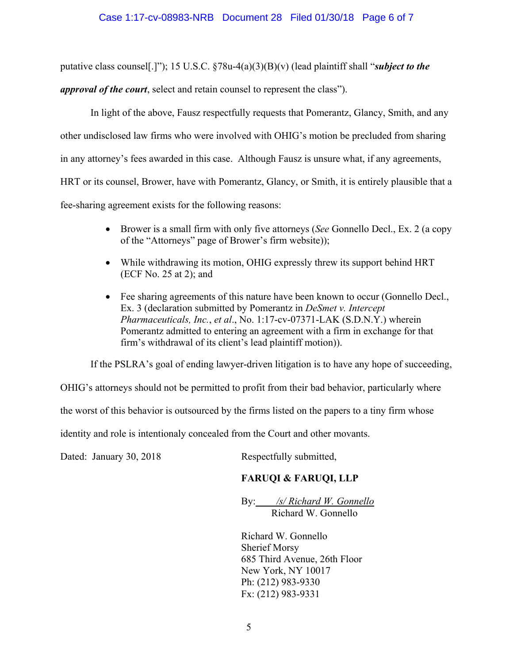putative class counsel[.]"); 15 U.S.C. §78u-4(a)(3)(B)(v) (lead plaintiff shall "*subject to the* 

*approval of the court*, select and retain counsel to represent the class").

In light of the above, Fausz respectfully requests that Pomerantz, Glancy, Smith, and any other undisclosed law firms who were involved with OHIG's motion be precluded from sharing in any attorney's fees awarded in this case. Although Fausz is unsure what, if any agreements, HRT or its counsel, Brower, have with Pomerantz, Glancy, or Smith, it is entirely plausible that a fee-sharing agreement exists for the following reasons:

- Brower is a small firm with only five attorneys (*See* Gonnello Decl., Ex. 2 (a copy of the "Attorneys" page of Brower's firm website));
- While withdrawing its motion, OHIG expressly threw its support behind HRT (ECF No. 25 at 2); and
- Fee sharing agreements of this nature have been known to occur (Gonnello Decl., Ex. 3 (declaration submitted by Pomerantz in *DeSmet v. Intercept Pharmaceuticals, Inc.*, *et al*., No. 1:17-cv-07371-LAK (S.D.N.Y.) wherein Pomerantz admitted to entering an agreement with a firm in exchange for that firm's withdrawal of its client's lead plaintiff motion)).

If the PSLRA's goal of ending lawyer-driven litigation is to have any hope of succeeding,

OHIG's attorneys should not be permitted to profit from their bad behavior, particularly where

the worst of this behavior is outsourced by the firms listed on the papers to a tiny firm whose

identity and role is intentionaly concealed from the Court and other movants.

Dated: January 30, 2018 Respectfully submitted,

## **FARUQI & FARUQI, LLP**

By: */s/ Richard W. Gonnello* Richard W. Gonnello

Richard W. Gonnello Sherief Morsy 685 Third Avenue, 26th Floor New York, NY 10017 Ph: (212) 983-9330 Fx: (212) 983-9331